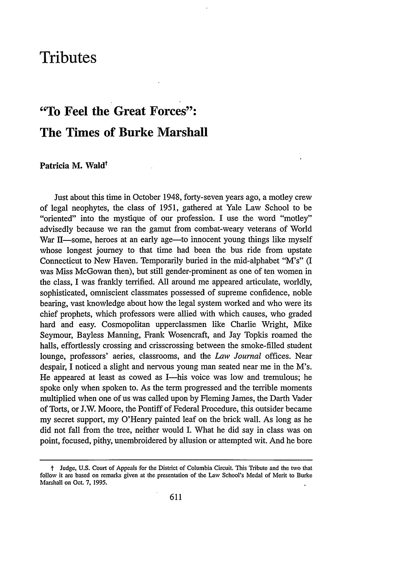# **Tributes**

# **"To Feel the Great Forces": The Times of Burke Marshall**

## **Patricia M. Wald<sup>†</sup>**

Just about this time in October 1948, forty-seven years ago, a motley crew of legal neophytes, the class of 1951, gathered at Yale Law School to be "oriented" into the mystique of our profession. I use the word "motley" advisedly because we ran the gamut from combat-weary veterans of World War II—some, heroes at an early age—to innocent young things like myself whose longest journey to that time had been the bus ride from upstate Connecticut to New Haven. Temporarily buried in the mid-alphabet "M's" (I was Miss McGowan then), but still gender-prominent as one of ten women in the class, I was frankly terrified. All around me appeared articulate, worldly, sophisticated, omniscient classmates possessed of supreme confidence, noble bearing, vast knowledge about how the legal system worked and who were its chief prophets, which professors were allied with which causes, who graded hard and easy. Cosmopolitan upperclassmen like Charlie Wright, Mike Seymour, Bayless Manning, Frank Wosencraft, and Jay Topkis roamed the halls, effortlessly crossing and crisscrossing between the smoke-filled student lounge, professors' aeries, classrooms, and the *Law Journal* offices. Near despair, I noticed a slight and nervous young man seated near me in the M's. He appeared at least as cowed as I-his voice was low and tremulous; he spoke only when spoken to. As the term progressed and the terrible moments multiplied when one of us was called upon by Fleming James, the Darth Vader of Torts, or J.W. Moore, the Pontiff of Federal Procedure, this outsider became my secret support, my O'Henry painted leaf on the brick wall. As long as he did not fall from the tree, neither would I. What he did say in class was on point, focused, pithy, unembroidered by allusion or attempted wit. And he bore

t Judge, **U.S.** Court of Appeals for the District of Columbia Circuit. This Tribute and the two that follow it are based on remarks given at the presentation of the Law School's Medal of Merit to Burke Marshall on Oct. 7, **1995.**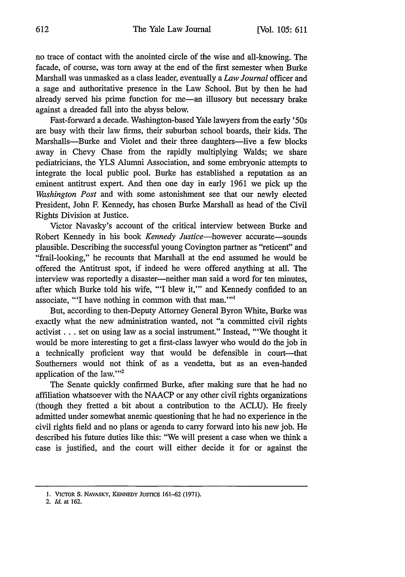no trace of contact with the anointed circle of the wise and all-knowing. The facade, of course, was torn away at the end of the first semester when Burke Marshall was unmasked as a class leader, eventually a *Law Journal* officer and a sage and authoritative presence in the Law School. But by then he had already served his prime function for me-an illusory but necessary brake against a dreaded fall into the abyss below.

Fast-forward a decade. Washington-based Yale lawyers from the early '50s are busy with their law firms, their suburban school boards, their kids. The Marshalls-Burke and Violet and their three daughters-live a few blocks away in Chevy Chase from the rapidly multiplying Walds; we share pediatricians, the YLS Alumni Association, and some embryonic attempts to integrate the local public pool. Burke has established a reputation as an eminent antitrust expert. And then one day in early 1961 we pick up the *Washington Post* and with some astonishment see that our newly elected President, John F. Kennedy, has chosen Burke Marshall as head of the Civil Rights Division at Justice.

Victor Navasky's account of the critical interview between Burke and Robert Kennedy in his book *Kennedy Justice-however* accurate-sounds plausible. Describing the successful young Covington partner as "reticent" and "frail-looking," he recounts that Marshall at the end assumed he would be offered the Antitrust spot, if indeed he were offered anything at all. The interview was reportedly a disaster—neither man said a word for ten minutes, after which Burke told his wife, "'I blew it,"' and Kennedy confided to an associate, "'I have nothing in common with that man.""

But, according to then-Deputy Attorney General Byron White, Burke was exactly what the new administration wanted, not "a committed civil rights activist.., set on using law as a social instrument." Instead, "'We thought it would be more interesting to get a first-class lawyer who would do the job in a technically proficient way that would be defensible in court---that Southerners would not think of as a vendetta, but as an even-handed application of the law."<sup>2</sup>

The Senate quickly confirmed Burke, after making sure that he had no affiliation whatsoever with the NAACP or any other civil rights organizations (though they fretted a bit about a contribution to the ACLU). He freely admitted under somewhat anemic questioning that he had no experience in the civil rights field and no plans or agenda to carry forward into his new job. He described his future duties like this: "We will present a case when we think a case is justified, and the court will either decide it for or against the

2. *Id.* at **162.**

**<sup>1.</sup>** VICTOR **S.** NAVASKY, **KENNEDY JUSTICE 161-62 (1971).**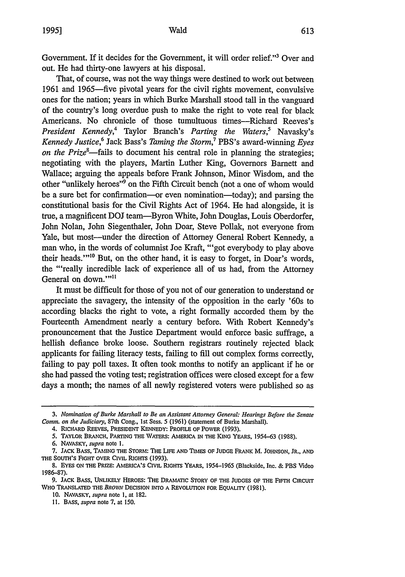### Wald

Government. If it decides for the Government, it will order relief."'3 Over and out. He had thirty-one lawyers at his disposal.

That, of course, was not the way things were destined to work out between 1961 and 1965-five pivotal years for the civil rights movement, convulsive ones for the nation; years in which Burke Marshall stood tall in the vanguard of the country's long overdue push to make the right to vote real for black Americans. No chronicle of those tumultuous times—Richard Reeves's *President Kennedy,4* Taylor Branch's *Parting the Waters,5* Navasky's *Kennedy Justice,6* Jack Bass's *Taming the Storm,7* PBS's award-winning *Eyes on the Prize8-fails* to document his central role in planning the strategies; negotiating with the players, Martin Luther King, Governors Barnett and Wallace; arguing the appeals before Frank Johnson, Minor Wisdom, and the other "unlikely heroes"<sup>9</sup> on the Fifth Circuit bench (not a one of whom would be a sure bet for confirmation-or even nomination-today); and parsing the constitutional basis for the Civil Rights Act of 1964. He had alongside, it is true, a magnificent DOJ team-Byron White, John Douglas, Louis Oberdorfer, John Nolan, John Siegenthaler, John Doar, Steve Pollak, not everyone from Yale, but most—under the direction of Attorney General Robert Kennedy, a man who, in the words of columnist Joe Kraft, "'got everybody to play above their heads."<sup>10</sup> But, on the other hand, it is easy to forget, in Doar's words, the "'really incredible lack of experience all of us had, from the Attorney General on down.""<sup>11</sup>

It must be difficult for those of you not of our generation to understand or appreciate the savagery, the intensity of the opposition in the early '60s to according blacks the right to vote, a right formally accorded them by the Fourteenth Amendment nearly a century before. With Robert Kennedy's pronouncement that the Justice Department would enforce basic suffrage, a hellish defiance broke loose. Southern registrars routinely rejected black applicants for failing literacy tests, failing to fill out complex forms correctly, failing to pay poll taxes. It often took months to notify an applicant if he or she had passed the voting test; registration offices were closed except for a few days a month; the names of all newly registered voters were published so as

*<sup>3.</sup> Nomination of Burke Marshall to Be an Assistant Attorney General: Hearings Before the Senate Comm. on the Judiciary,* 87th Cong., 1st Sess. 5 (1961) (statement of Burke Marshall).

<sup>4.</sup> **RICHARD REEVES,** PRESIDENT **KENNEDY:** PROFILE OF **POWER (1993).**

<sup>5.</sup> TAYLOR BRANCH, PARTING **THE WATERS: AMERICA IN THE KING** YEARS, **1954-63 (1988).**

**<sup>6.</sup>** NAVASKY, *supra* note **1.**

**<sup>7.</sup> JACK** BASS, **TAMING THE** STORM: **THE LIFE AND TIMES OF JUDGE** FRANK M. **JOHNSON,** JR., **AND** THE **SOUTH'S FIGHT** OVER CIVIL **RIGHTS (1993).**

<sup>8.</sup> EYES ON THE PRIZE: AMERICA'S CIVIL RIGHTS YEARS, 1954-1965 (Blackside, Inc. & PBS Video 1986-87).

**<sup>9.</sup> JACK** BASS, UNLIKELY HEROES: THE DRAMATIC STORY OF THE JUDGES OF THE FIFTH CIRCUIT WHO TRANSLATED THE BROWN DECISION INTO A REVOLUTION FOR EQUALITY (1981).

<sup>10.</sup> NAVASKY, *supra* note 1, at 182.

**<sup>11.</sup>** BASS, *supra* note 7, at 150.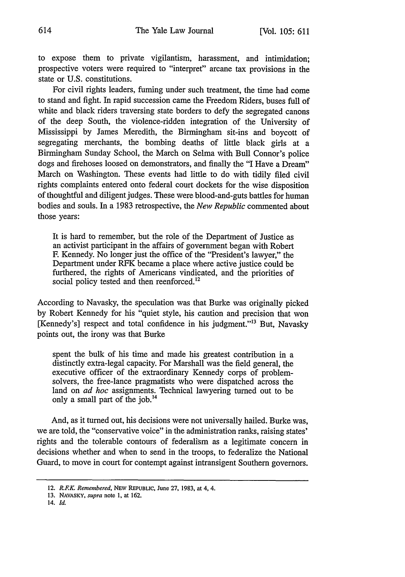to expose them to private vigilantism, harassment, and intimidation; prospective voters were required to "interpret" arcane tax provisions in the state or U.S. constitutions.

For civil rights leaders, fuming under such treatment, the time had come to stand and fight. In rapid succession came the Freedom Riders, buses full of white and black riders traversing state borders to defy the segregated canons of the deep South, the violence-ridden integration of the University of Mississippi by James Meredith, the Birmingham sit-ins and boycott of segregating merchants, the bombing deaths of little black girls at a Birmingham Sunday School, the March on Selma with Bull Connor's police dogs and firehoses loosed on demonstrators, and finally the "I Have a Dream" March on Washington. These events had little to do with tidily filed civil rights complaints entered onto federal court dockets for the wise disposition of thoughtful and diligent judges. These were blood-and-guts battles for human bodies and souls. In a 1983 retrospective, the *New Republic* commented about those years:

It is hard to remember, but the role of the Department of Justice as an activist participant in the affairs of government began with Robert F. Kennedy. No longer just the office of the "President's lawyer," the Department under RFK became a place where active justice could be furthered, the rights of Americans vindicated, and the priorities of social policy tested and then reenforced.<sup>12</sup>

According to Navasky, the speculation was that Burke was originally picked by Robert Kennedy for his "quiet style, his caution and precision that won [Kennedy's] respect and total confidence in his judgment."<sup>13</sup> But, Navasky points out, the irony was that Burke

spent the bulk of his time and made his greatest contribution in a distinctly extra-legal capacity. For Marshall was the field general, the executive officer of the extraordinary Kennedy corps of problemsolvers, the free-lance pragmatists who were dispatched across the land on *ad hoc* assignments. Technical lawyering turned out to be only a small part of the job. $<sup>14</sup>$ </sup>

And, as it turned out, his decisions were not universally hailed. Burke was, we are told, the "conservative voice" in the administration ranks, raising states' rights and the tolerable contours of federalism as a legitimate concern in decisions whether and when to send in the troops, to federalize the National Guard, to move in court for contempt against intransigent Southern governors.

14. *Id.*

<sup>12.</sup> *R.FK. Remembered,* **NEW** REPUBLIC, June **27, 1983,** at 4, 4.

**<sup>13.</sup>** NAVASKY, *supra* note **1,** at **162.**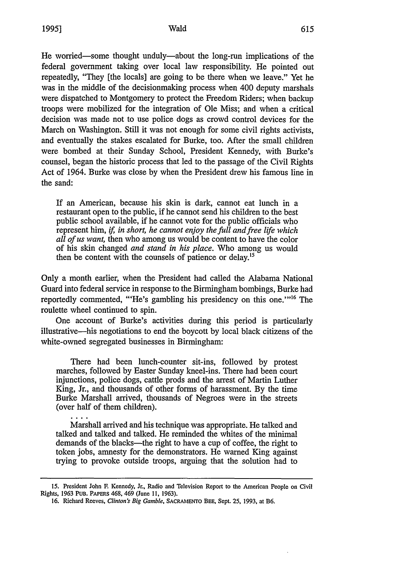#### Wald

He worried-some thought unduly-about the long-run implications of the federal government taking over local law responsibility. He pointed out repeatedly, "They [the locals] are going to be there when we leave." Yet he was in the middle of the decisionmaking process when 400 deputy marshals were dispatched to Montgomery to protect the Freedom Riders; when backup troops were mobilized for the integration of Ole Miss; and when a critical decision was made not to use police dogs as crowd control devices for the March on Washington. Still it was not enough for some civil rights activists, and eventually the stakes escalated for Burke, too. After the small children were bombed at their Sunday School, President Kennedy, with Burke's counsel, began the historic process that led to the passage of the Civil Rights Act of 1964. Burke was close by when the President drew his famous line in the sand:

If an American, because his skin is dark, cannot eat lunch in a restaurant open to the public, if he cannot send his children to the best public school available, if he cannot vote for the public officials who represent him, if, *in short, he cannot enjoy the full and free life which all of us want,* then who among us would be content to have the color of his skin changed *and stand in his place.* Who among us would then be content with the counsels of patience or delay.<sup>15</sup>

Only a month earlier, when the President had called the Alabama National Guard into federal service in response to the Birmingham bombings, Burke had reportedly commented, "He's gambling his presidency on this one."<sup>16</sup> The roulette wheel continued to spin.

One account of Burke's activities during this period is particularly illustrative-his negotiations to end the boycott by local black citizens of the white-owned segregated businesses in Birmingham:

There had been lunch-counter sit-ins, followed by protest marches, followed by Easter Sunday kneel-ins. There had been court injunctions, police dogs, cattle prods and the arrest of Martin Luther King, Jr., and thousands of other forms of harassment. By the time Burke Marshall arrived, thousands of Negroes were in the streets (over half of them children).

Marshall arrived and his technique was appropriate. He talked and talked and talked and talked. He reminded the whites of the minimal demands of the blacks—the right to have a cup of coffee, the right to token jobs, amnesty for the demonstrators. He warned King against trying to provoke outside troops, arguing that the solution had to

**<sup>15.</sup>** President John **F** Kennedy, Jr., Radio and Television Report to the American People on Civil Rights, **1963 PUB.** PAPERS 468, 469 (June **II, 1963).**

**<sup>16.</sup>** Richard Reeves, *Clinton's Big Gamble,* **SACRAMENTO** BEE, Sept. **25, 1993,** at B6.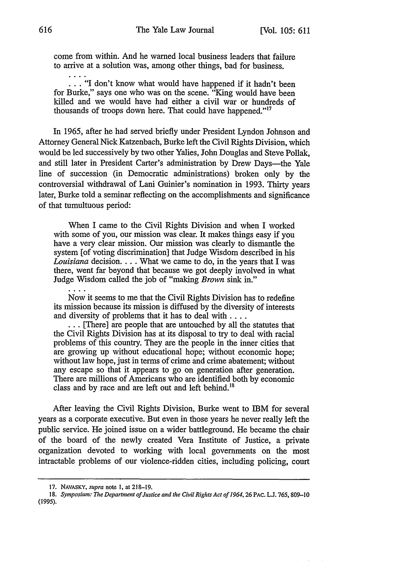come from within. And he warned local business leaders that failure to arrive at a solution was, among other things, bad for business.

... "I don't know what would have happened if it hadn't been for Burke," says one who was on the scene. "King would have been killed and we would have had either a civil war or hundreds of thousands of troops down here. That could have happened."<sup>17</sup>

In 1965, after he had served briefly under President Lyndon Johnson and Attorney General Nick Katzenbach, Burke left the Civil Rights Division, which would be led successively by two other Yalies, John Douglas and Steve Pollak, and still later in President Carter's administration by Drew Days—the Yale line of succession (in Democratic administrations) broken only by the controversial withdrawal of Lani Guinier's nomination in 1993. Thirty years later, Burke told a seminar reflecting on the accomplishments and significance of that tumultuous period:

When I came to the Civil Rights Division and when I worked with some of you, our mission was clear. It makes things easy if you have a very clear mission. Our mission was clearly to dismantle the system [of voting discrimination] that Judge Wisdom described in his *Louisiana* decision.... What we came to do, in the years that I was there, went far beyond that because we got deeply involved in what Judge Wisdom called the job of "making *Brown* sink in."

Now it seems to me that the Civil Rights Division has to redefine its mission because its mission is diffused by the diversity of interests

... **[There]** are people that are untouched by all the statutes that the Civil Rights Division has at its disposal to try to deal with racial problems of this country. They are the people in the inner cities that are growing up without educational hope; without economic hope; without law hope, just in terms of crime and crime abatement; without any escape so that it appears to go on generation after generation. There are millions of Americans who are identified both by economic class and by race and are left out and left behind.<sup>18</sup>

After leaving the Civil Rights Division, Burke went to IBM for several years as a corporate executive. But even in those years he never really left the public service. He joined issue on a wider battleground. He became the chair of the board of the newly created Vera Institute of Justice, a private organization devoted to working with local governments on the most intractable problems of our violence-ridden cities, including policing, court

<sup>17.</sup> NAVASKY, *supra* note 1, at 218-19.

*<sup>18.</sup> Symposium: The Department of Justice and the Civil Rights Act of 1964,26* PAc. **L.J.** 765, 809-10 (1995).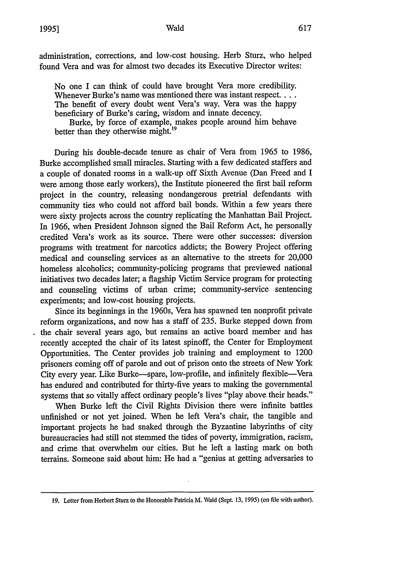#### Wald

administration, corrections, and low-cost housing. Herb Sturz, who helped found Vera and was for almost two decades its Executive Director writes:

No one I can think of could have brought Vera more credibility. Whenever Burke's name was mentioned there was instant respect.... The benefit of every doubt went Vera's way. Vera was the happy beneficiary of Burke's caring, wisdom and innate decency.

Burke, by force of example, makes people around him behave better than they otherwise might.<sup>19</sup>

During his double-decade tenure as chair of Vera from 1965 to 1986, Burke accomplished small miracles. Starting with a few dedicated staffers and a couple of donated rooms in a walk-up off Sixth Avenue (Dan Freed and I were among those early workers), the Institute pioneered the first bail reform project in the country, releasing nondangerous pretrial defendants with community ties who could not afford bail bonds. Within a few years there were sixty projects across the country replicating the Manhattan Bail Project. In 1966, when President Johnson signed the Bail Reform Act, he personally credited Vera's work as its source. There were other successes: diversion programs with treatment for narcotics addicts; the Bowery Project offering medical and counseling services as an alternative to the streets for 20,000 homeless alcoholics; community-policing programs that previewed national initiatives two decades later; a flagship Victim Service program for protecting and counseling victims of urban crime; community-service sentencing experiments; and low-cost housing projects.

Since its beginnings in the 1960s, Vera has spawned ten nonprofit private reform organizations, and now has a staff of 235. Burke stepped down from the chair several years ago, but remains an active board member and has recently accepted the chair of its latest spinoff, the Center for Employment Opportunities. The Center provides job training and employment to 1200 prisoners coming off of parole and out of prison onto the streets of New York City every year. Like Burke-spare, low-profile, and infinitely flexible-Vera has endured and contributed for thirty-five years to making the governmental systems that so vitally affect ordinary people's lives "play above their heads."

When Burke left the Civil Rights Division there were infinite battles unfinished or not yet joined. When he left Vera's chair, the tangible and important projects he had snaked through the Byzantine labyrinths of city bureaucracies had still not stemmed the tides of poverty, immigration, racism, and crime that overwhelm our cities. But he left a lasting mark on both terrains. Someone said about him: He had a "genius at getting adversaries to

**<sup>19.</sup>** Letter from Herbert Sturz to the Honorable Patricia M. Wald (Sept. 13, **1995)** (on file with author).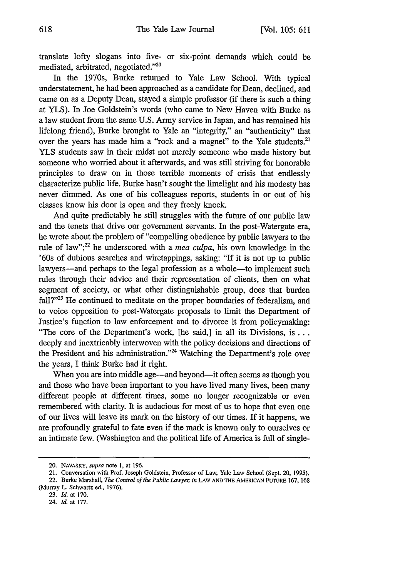translate lofty slogans into five- or six-point demands which could be mediated, arbitrated, negotiated."<sup>20</sup>

In the 1970s, Burke returned to Yale Law School. With typical understatement, he had been approached as a candidate for Dean, declined, and came on as a Deputy Dean, stayed a simple professor (if there is such a thing at YLS). In Joe Goldstein's words (who came to New Haven with Burke as a law student from the same U.S. Army service in Japan, and has remained his lifelong friend), Burke brought to Yale an "integrity," an "authenticity" that over the years has made him a "rock and a magnet" to the Yale students.<sup>2</sup> YLS students saw in their midst not merely someone who made history but someone who worried about it afterwards, and was still striving for honorable principles to draw on in those terrible moments of crisis that endlessly characterize public life. Burke hasn't sought the limelight and his modesty has never dimmed. As one of his colleagues reports, students in or out of his classes know his door is open and they freely knock.

And quite predictably he still struggles with the future of our public law and the tenets that drive our government servants. In the post-Watergate era, he wrote about the problem of "compelling obedience by public lawyers to the rule of law";<sup>22</sup> he underscored with a *mea culpa*, his own knowledge in the '60s of dubious searches and wiretappings, asking: "If it is not up to public lawyers-and perhaps to the legal profession as a whole-to implement such rules through their advice and their representation of clients, then on what segment of society, or what other distinguishable group, does that burden fall?"<sup>23</sup> He continued to meditate on the proper boundaries of federalism, and to voice opposition to post-Watergate proposals to limit the Department of Justice's function to law enforcement and to divorce it from policymaking: "The core of the Department's work, [he said,] in all its Divisions, **is...** deeply and inextricably interwoven with the policy decisions and directions of the President and his administration."<sup>24</sup> Watching the Department's role over the years, I think Burke had it right.

When you are into middle age—and beyond—it often seems as though you and those who have been important to you have lived many lives, been many different people at different times, some no longer recognizable or even remembered with clarity. It is audacious for most of us to hope that even one of our lives will leave its mark on the history of our times. If it happens, we are profoundly grateful to fate even if the mark is known only to ourselves or an intimate few. (Washington and the political life of America is full of single-

<sup>20.</sup> NAVASKY, supra note **1,** at 196.

<sup>21.</sup> Conversation with Prof. Joseph Goldstein, Professor of Law, Yale Law School (Sept. 20, **1995).**

<sup>22.</sup> Burke Marshall, *The Control of the Public Lawyer in* LAW **AND** THE **AMERICAN** FUTURE 167, 168 (Murray L. Schwartz ed., 1976).

<sup>23.</sup> *Id.* at 170.

<sup>24.</sup> *Id.* at 177.